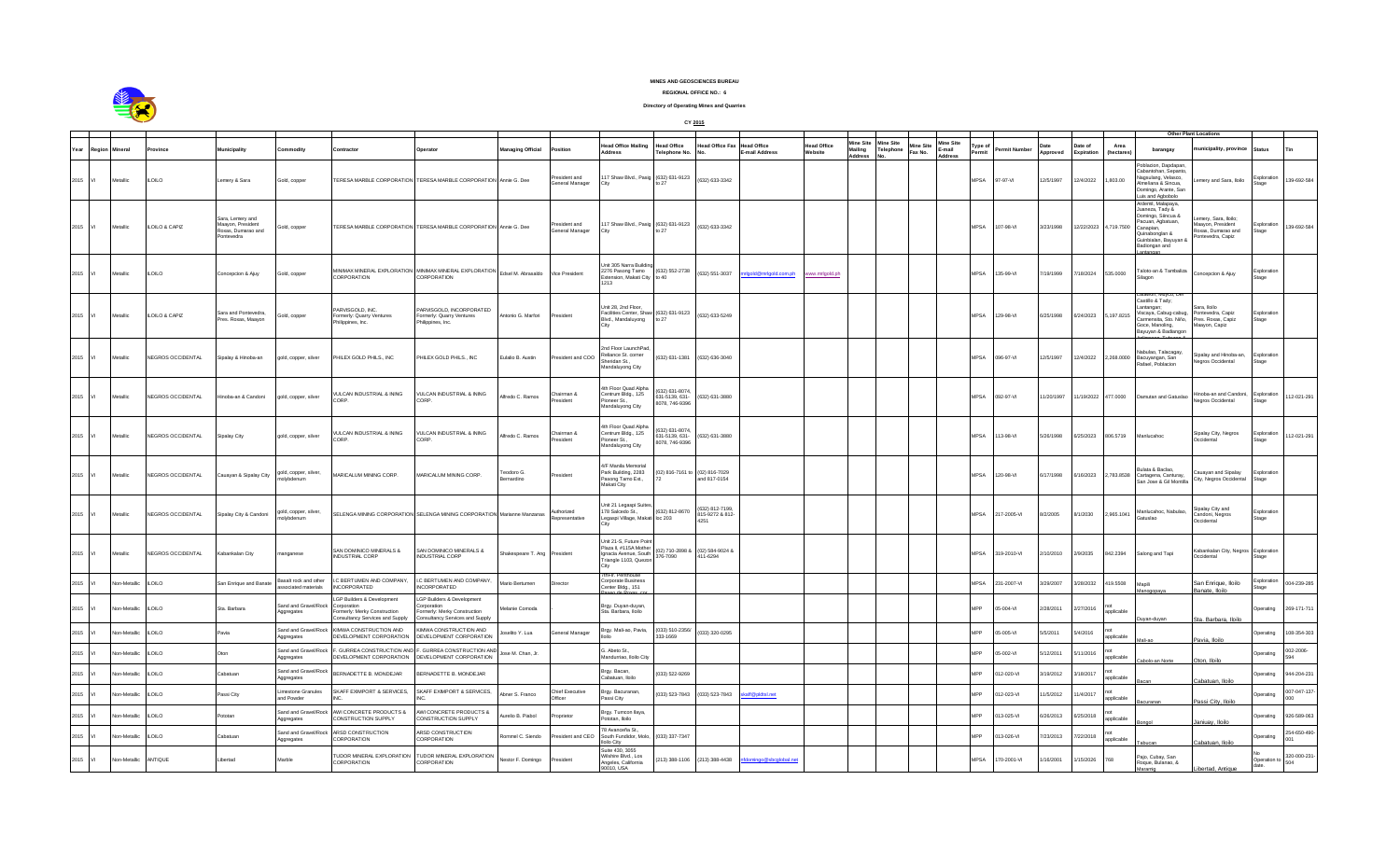

## **MINES AND GEOSCIENCES BUREAU**

**REGIONAL OFFICE NO.: 6**

**Directory of Operating Mines and Quarries**

|      |        |                 |                   |                                                                          |                                            |                                                                                                       |                                                                                                         |                          |                                  |                                                                                                   | CY 2015                                           |                                         |                              |                       |                                         |                                               |                                |                  |              |                  |                       |                  |                                                                                                                                                    |                                                                                   |                             |                    |
|------|--------|-----------------|-------------------|--------------------------------------------------------------------------|--------------------------------------------|-------------------------------------------------------------------------------------------------------|---------------------------------------------------------------------------------------------------------|--------------------------|----------------------------------|---------------------------------------------------------------------------------------------------|---------------------------------------------------|-----------------------------------------|------------------------------|-----------------------|-----------------------------------------|-----------------------------------------------|--------------------------------|------------------|--------------|------------------|-----------------------|------------------|----------------------------------------------------------------------------------------------------------------------------------------------------|-----------------------------------------------------------------------------------|-----------------------------|--------------------|
|      |        |                 |                   |                                                                          |                                            |                                                                                                       |                                                                                                         |                          |                                  |                                                                                                   |                                                   |                                         |                              |                       |                                         |                                               |                                |                  |              |                  |                       |                  |                                                                                                                                                    | Other Plant Locations                                                             |                             |                    |
| Year | Region | Aineral         |                   | lunicipality                                                             | ommodity                                   | ontractor                                                                                             | Operator                                                                                                | <b>Managing Official</b> | osition                          | <b>Head Office Mailing</b><br>Address                                                             | lead Office<br>Felephone No                       | Head Office Fax                         | lead Office<br>-mail Address | Head Office<br>ebsite | Mine Site<br><b>Mailing<br/>Address</b> | line Site<br>Mine Site<br>elephone<br>Fax No. | Mine Site<br>E-mail<br>Address | 'ype of<br>ermit | ermit Number | Date<br>Approved | Date of<br>Expiration | Area<br>(hectare | barangay                                                                                                                                           | unicipality, province                                                             | Status                      |                    |
| 2015 | VI     | Metallic        | <b>LOILO</b>      | emery & Sara                                                             | Gold, copper                               |                                                                                                       | TERESA MARBLE CORPORATION TERESA MARBLE CORPORATION Annie G. Dee                                        |                          | President and<br>General Manager | 17 Shaw Blvd., Pasig (632) 631-9123                                                               |                                                   | (632) 633-3342                          |                              |                       |                                         |                                               |                                | <b>MPSA</b>      | 97-97-VI     | 12/5/1997        | 12/4/2022             | 1.803.00         | oblacion, Dapdapar<br>Cabantohan, Sepant<br>.<br>Nagsulang, Velasco,<br>Almeñana & Sincua,<br>Jomingo, Arante, Sar<br>uis and Agbobolo             | mery and Sara, Iloilo                                                             | <b>Exploration</b><br>tage  | 39-692-584         |
| 2015 | VI.    | Metallic        | ILOILO & CAPIZ    | Sara, Lemery and<br>laayon, President<br>Roxas, Dumarao and<br>ontevedra | Gold, copper                               |                                                                                                       | TERESA MARBLE CORPORATION TERESA MARBLE CORPORATION Annie G. Dee                                        |                          | resident and<br>General Manager  | 17 Shaw Blvd., Pasig (632) 631-9123                                                               | tn $27$                                           | (632) 633-3342                          |                              |                       |                                         |                                               |                                | <b>MPSA</b>      | 07-98-VI     | 3/23/1998        | 12/22/2023            | 4,719.7500       | rdemil, Malapaya.<br>aneza, Tady &<br>Jomingo, Siincua &<br>acuan, Agbatuan,<br>Canapian,<br>2uinabonglan &<br>Suinbialan, Bayuyan<br>adiongan and | mery, Sara, Iloilo;<br>laayon, President<br>oxas, Dumarao and<br>ontevedra, Capiz | xploration<br>tage          | 39-692-584         |
| 2015 | VI     | <b>Aetallic</b> | <b>ILOILO</b>     | Concepcion & Ajuy                                                        | Gold, copper                               | IINIMAX MINERAL EXPLORATION<br>CORPORATION                                                            | <b>MINIMAX MINERAL EXPLORATION</b><br>CORPORATION                                                       | Edsel M. Abrasaldo       | Vice President                   | Jnit 305 Narra Buildin<br>2276 Pasong Tamo<br>xtension, Makati City<br>1213                       | (632) 552-2738<br>to $40$                         | (632) 551-3037                          | gold@mrlgold.com.ph          | www.mrigold.ph        |                                         |                                               |                                | MPSA             | 35-99-VI     | 7/19/1999        | 7/18/2024             | 535.0000         | aloto-an & Tambaliza<br>ilagon                                                                                                                     | oncepcion & Ajuy                                                                  | Exploration<br>Stage        |                    |
| 2015 | M      | Metallic        | LOILO & CAPIZ     | Sara and Pontevedra,<br>Pres. Roxas, Maayon                              | old, copper                                | ARVISGOLD, INC.<br>ormerly: Quarry Ventures<br>hilippines, Inc.                                       | ARVISGOLD, INCORPORATED<br>Formerly: Quarry Ventures<br>Philippines, Inc.                               | Intonio G. Marfori       | resident                         | Unit 28, 2nd Floor.<br>Facilities Center, Shaw (632) 631-9123<br>Blvd., Mandaluyong               | to $27$                                           | (632) 633-5249                          |                              |                       |                                         |                                               |                                | <b>MPSA</b>      | 129-98-VI    | 6/25/1998        | 6/24/2023             | 5 197 8215       | Castillo & Tady;<br>Lantangan:<br>Viscaya, Cabug-cabug,<br>armensita, Sto. Niño,<br>Goce, Manoling,<br>avuvan & Badiango                           | ara, Iloilo<br>ontevedra, Capiz<br>res. Roxas, Capiz<br>laayon, Capiz             | <b>Exploration</b><br>Stage |                    |
| 2015 | VI     | Metallic        | NEGROS OCCIDENTAL | Sipalay & Hinoba-an                                                      | gold, copper, silver                       | HIEX GOLD PHIS INC.                                                                                   | PHILEX GOLD PHILS., INC                                                                                 | Eulalio B. Austin        | resident and COC                 | nd Floor LaunchPad<br>eliance St. corner<br>Sheridan St.,<br>Mandaluyong City                     | 632) 631-1381                                     | (632) 636-3040                          |                              |                       |                                         |                                               |                                | MPSA             | 096-97-VI    | 12/5/1997        | 12/4/2022             | 0000 835 2       | labulao, Talacagay,<br>Bacuyangan, San<br>Rafael, Poblacion                                                                                        | ipalay and Hinoba-an,<br>egros Occidental                                         | Exploration<br>Stage        |                    |
| 2015 | VI     | Metallic        | NEGROS OCCIDENTAL | linoba-an & Candoni                                                      | gold, copper, silver                       | /ULCAN INDUSTRIAL & INING<br>ORP                                                                      | VULCAN INDUSTRIAL & INING<br>CORP                                                                       | Alfredo C. Ramos         | Chairman &<br>ssident            | th Floor Quad Alpha<br>Centrum Bldg., 125<br>Pioneer St.,<br>Mandaluyong City                     | 632) 631-8074<br>631-5139 631-<br>8078, 746-9396  | (632) 631-3880                          |                              |                       |                                         |                                               |                                | MPSA             | 092-97-VI    | 11/20/1997       | 11/19/2022            | 477,0000         | Damutan and Gatuslad                                                                                                                               | inoba-an and Candoni,<br>egros Occidental                                         | Exploration<br>Stage        | 12-021-291         |
| 2015 | VI     | Metallic        | NEGROS OCCIDENTAL | Sipalay City                                                             | gold, copper, silver                       | /ULCAN INDUSTRIAL & INING<br>ORP.                                                                     | /ULCAN INDUSTRIAL & INING<br>CORP.                                                                      | Vifredo C. Ramos         | Chairman &<br>esident            | h Floor Quad Alpha<br>Centrum Bldg., 125<br>oneer St.,<br>Mandaluyong City                        | 632) 631-8074<br>631-5139, 631-<br>8078, 746-9396 | (632) 631-3880                          |                              |                       |                                         |                                               |                                | <b>MPSA</b>      | 13-98-VI     | 5/26/1998        | 6/25/2023             | 806.5719         | <b>Aanlucahoc</b>                                                                                                                                  | Sipalay City, Negros<br>ccidental                                                 | <b>Exploration</b><br>Stage | 12-021-291         |
| 2015 |        | Aetallic        | NEGROS OCCIDENTAL | Cauayan & Sipalay City                                                   | jold, copper, silver,<br>nolvbdenum        | <b>AARICALUM MINING CORP.</b>                                                                         | MARICALUM MINING CORP.                                                                                  | eodoro G.<br>ernardino   | esident                          | F Manila Memorial<br>Park Building, 2283<br>Pasong Tamo Ext.,<br>Makati City                      | 02) 816-7161 to                                   | (02) 816-7029<br>and 817-0154           |                              |                       |                                         |                                               |                                | MPSA             | 20-98-VI     | 6/17/1998        | 6/16/2023             | 2,783.8538       | ulata & Baclao.<br>Cartagena, Canturay,<br>San Jose & Gil Montill                                                                                  | auayan and Sipalay<br>City, Negros Occidental                                     | xploration<br>Stage         |                    |
| 2015 | VI     | Aetallic        | NEGROS OCCIDENTAL | Sipalay City & Candoni                                                   | gold, copper, silver,<br>nolvbdenum        |                                                                                                       | SELENGA MINING CORPORATION SELENGA MINING CORPORATION Marianne Manzanas                                 |                          | luthorized<br>epresentative      | Init 21 Legaspi Suites<br>178 Salcedo St<br>Legaspi Village, Makati loc 203                       | (632) 812-8670                                    | 632) 812-7199<br>815-9272 & 812<br>4251 |                              |                       |                                         |                                               |                                | <b>MPSA</b>      | 217-2005-VI  | 8/2/2005         | 8/1/2030              | 2,965.1041       | Aanlucahoc, Nabulao<br><b>Gatuslao</b>                                                                                                             | ipalay City and<br>andoni, Negros<br>ccidental                                    | <b>Exploration</b><br>stage |                    |
| 2015 |        | letallic        | NEGROS OCCIDENTAL | abankalan City                                                           | anganese                                   | SAN DOMINICO MINERALS &<br>NDUSTRIAL CORP                                                             | SAN DOMINICO MINERALS &<br><b>NDUSTRIAL CORP</b>                                                        | hakespeare T. Ang        | resident                         | Jnit 21-S, Future Point<br>Plaza II, #115A Mother<br>Ignacia Avenue, South<br>nangle 1103, Quezon | 02) 710-2898 &<br>376-7090                        | (02) 584-9024 &<br>411-6294             |                              |                       |                                         |                                               |                                | <b>APSA</b>      | 19-2010-VI   | 10/2010          | 2/9/2035              | 842.2394         | Salong and Tapi                                                                                                                                    | abankalan City, Negros<br>ccidental                                               | Exploration<br>tage         |                    |
| 2015 |        | lon-Metallic    | <b>ILOILO</b>     | San Enrique and Banate                                                   | asalt rock and other<br>sociated materials | C BERTUMEN AND COMPANY<br>NCORPORATED                                                                 | LC BERTUMEN AND COMPANY,<br><b>INCORPORATED</b>                                                         | Mario Bertumen           | Director                         | hFir Penthor<br>Corporate Business<br>Center Bldg., 151                                           |                                                   |                                         |                              |                       |                                         |                                               |                                | <b>MPSA</b>      | 231-2007-VI  | 3/29/2007        | 3/28/2032             | 419.5508         | Aapili                                                                                                                                             | San Enrique, Iloilo                                                               | xploration<br>tage          | 04-239-285         |
| 2015 |        | lon-Metallic    | LOILO             | Sta. Barbara                                                             | and and Gravel/Roo<br>ggregates            | GP Builders & Development<br>rnoration<br>rmerly: Merky Construction<br>nsultancy Services and Supply | LGP Builders & Development<br>rnoration<br>ormerly: Merky Construction<br>nsultancy Services and Supply | Melanie Comoda           |                                  | Brav, Duvan-duvan,<br>Sta, Barbara, Iloilo                                                        |                                                   |                                         |                              |                       |                                         |                                               |                                | <b>APP</b>       | 5-004-VI     | 2/28/2011        | 2/27/2016             | applicable       |                                                                                                                                                    | anate liniin<br><b>Barbara</b> , Iloilo                                           | Operating                   | 269-171-711        |
| 2015 |        | Ion-Metallic    | LOILO             | Pavia                                                                    | and and Gravel/Roo<br>ggregates            | <b>IMWA CONSTRUCTION AND</b><br><b>DEVELOPMENT CORPORATION</b>                                        | <b>IMWA CONSTRUCTION AND</b><br>DEVELOPMENT CORPORATION                                                 | selito Y. Lua            | General Manager                  | Brgy. Mali-ao, Pavia,                                                                             | (033) 510-2356/<br>8881-889                       | 033) 320-0295                           |                              |                       |                                         |                                               |                                | <b>APP</b>       | 5-005-VI     | 5/5/2011         | 5/4/2016              | annlicable       |                                                                                                                                                    |                                                                                   | berating                    | 08-354-303         |
| 2015 |        | lon-Metallic    | <b>ILOILO</b>     |                                                                          | and and Gravel/Rock<br>ggregates           | <b>GURREA CONSTRUCTION AND</b><br>DEVELOPMENT CORPORATION                                             | GURREA CONSTRUCTION AND<br>DEVELOPMENT CORPORATION                                                      | Jose M. Chan, Jr.        |                                  | G. Abeto St.,<br>Aandurriao, Iloilo City                                                          |                                                   |                                         |                              |                       |                                         |                                               |                                | MPP              | 5-002-VI     | 5/12/2011        | 5/11/2016             | pplicable        | olo-an Norte                                                                                                                                       | avia, Iloilo<br>ton. Iloilo                                                       | berating                    | 002-2006-<br>ìЛ    |
| 2015 |        | lon-Metallic    | LOILO             | Cabatuan                                                                 | and and Gravel/Roo<br>gareaates            | BERNADETTE B. MONDEJAR                                                                                | BERNADETTE B. MONDEJAR                                                                                  |                          |                                  | Brgy. Bacan,<br>Cabatuan, Iloilo                                                                  | 33) 522-9269                                      |                                         |                              |                       |                                         |                                               |                                | <b>APP</b>       | 12-020-VI    | 3/19/2012        | /18/2017              | applicable       |                                                                                                                                                    | abatuan, Iloilo                                                                   |                             | 44-204-231         |
| 2015 |        | lon-Metallio    | LOILO             | Passi City                                                               | imestone Granules<br>and Powder            | SKAFF EXIMPORT & SERVICES,                                                                            | SKAFF EXIMPORT & SERVICES,                                                                              | Abner S. Franco          | Chief Executive<br>Officer       | Brgy. Bacuranan,<br>assi City                                                                     | 033) 523-7843                                     | $(033) 523 - 7843$                      | aff@pldtsl.net               |                       |                                         |                                               |                                | <b>APP</b>       | 12-023-VI    | 1/5/2012         | 1/4/2017              | annlicable       |                                                                                                                                                    | assi City, Iloilo                                                                 | berating                    | 007-047-137<br>onc |
| 2015 |        | lon-Metallic    | <b>ILOILO</b>     | Pototan                                                                  | and and Gravel/Rock<br>ggregates           | AWI CONCRETE PRODUCTS &<br>ONSTRUCTION SUPPLY                                                         | AWI CONCRETE PRODUCTS &<br>CONSTRUCTION SUPPLY                                                          | Aurelio B. Piabol        | roprietor                        | Brgy. Tumcon llaya,<br>ototan, Iloilo                                                             |                                                   |                                         |                              |                       |                                         |                                               |                                | MPP              | 13-025-VI    | 6/26/2013        | /25/2018              | applicable       |                                                                                                                                                    | aniuav, Iloilo                                                                    | perating                    | 926-589-063        |
| 2015 | VI.    | lon-Metallic    | LOILO             | Cabatuar                                                                 | and and Gravel/Roo<br>ggregates            | ARSD CONSTRUCTION<br>CORPORATION                                                                      | ARSD CONSTRUCTION<br>CORPORATION                                                                        | ommel C. Siendo          | esident and CEC                  | 8 Avanceña St.,<br>South Fundidor, Molo,                                                          | 033) 337-7347                                     |                                         |                              |                       |                                         |                                               |                                | <b>APP</b>       | 13-026-VI    | /23/2013         | /22/2018              | applicable       |                                                                                                                                                    |                                                                                   | Operating                   | 54-650-490         |
| 2015 | M      | Non-Metallic    | ANTIQUE           | ihertad                                                                  | Marble                                     | <b>UDOR MINERAL EXPLORATION</b><br>ORPORATION                                                         | TUDOR MINERAL EXPLORATION<br>CORPORATION                                                                | Nestor F. Domingo        | resident                         | In City<br>Suite 430 3055<br>Wilshire Blvd., Los<br>Angeles, California<br>4/211 0000             | 213) 388-1106                                     | (213) 388-4438                          | fdomingo@sbcglobal.ne        |                       |                                         |                                               |                                | <b>MPSA</b>      | 170-2001-VI  | 1/16/2001        | 1/15/2026             | 887              | aio, Cubay, San<br>loque, Bulanao, &                                                                                                               | ibertad, Antique                                                                  | Oneration to<br>date.       | 320-000-231        |